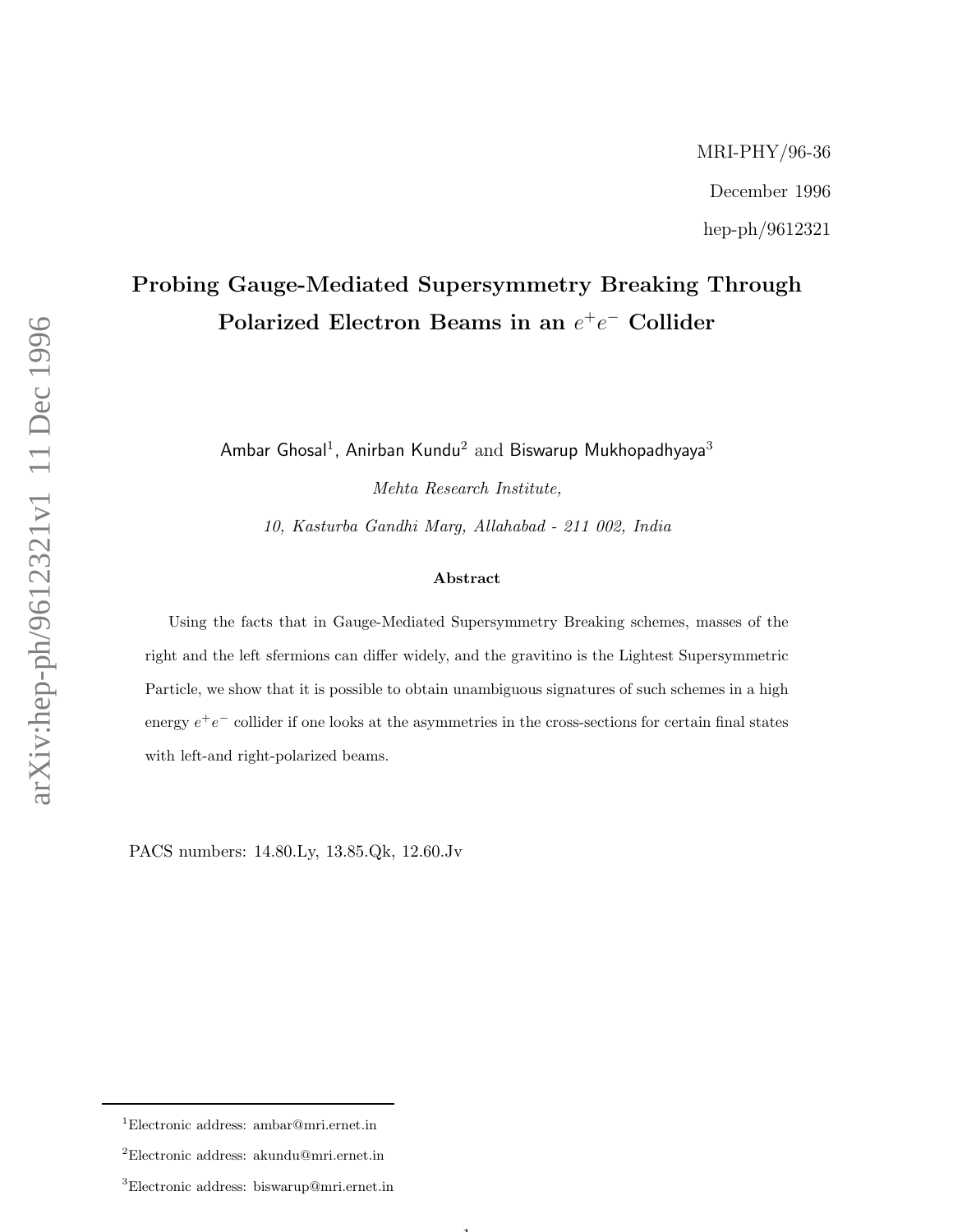## Probing Gauge-Mediated Supersymmetry Breaking Through Polarized Electron Beams in an  $e^+e^-$  Collider

Ambar Ghosal $^1$ , Anirban Kundu $^2$  and Biswarup Mukhopadhyaya $^3$ 

Mehta Research Institute,

10, Kasturba Gandhi Marg, Allahabad - 211 002, India

## Abstract

Using the facts that in Gauge-Mediated Supersymmetry Breaking schemes, masses of the right and the left sfermions can differ widely, and the gravitino is the Lightest Supersymmetric Particle, we show that it is possible to obtain unambiguous signatures of such schemes in a high energy  $e^+e^-$  collider if one looks at the asymmetries in the cross-sections for certain final states with left-and right-polarized beams.

 $\mathbf{1}$ 

PACS numbers: 14.80.Ly, 13.85.Qk, 12.60.Jv

<sup>1</sup>Electronic address: ambar@mri.ernet.in

 $^2$ Electronic address: akundu@mri.ernet.in

<sup>3</sup>Electronic address: biswarup@mri.ernet.in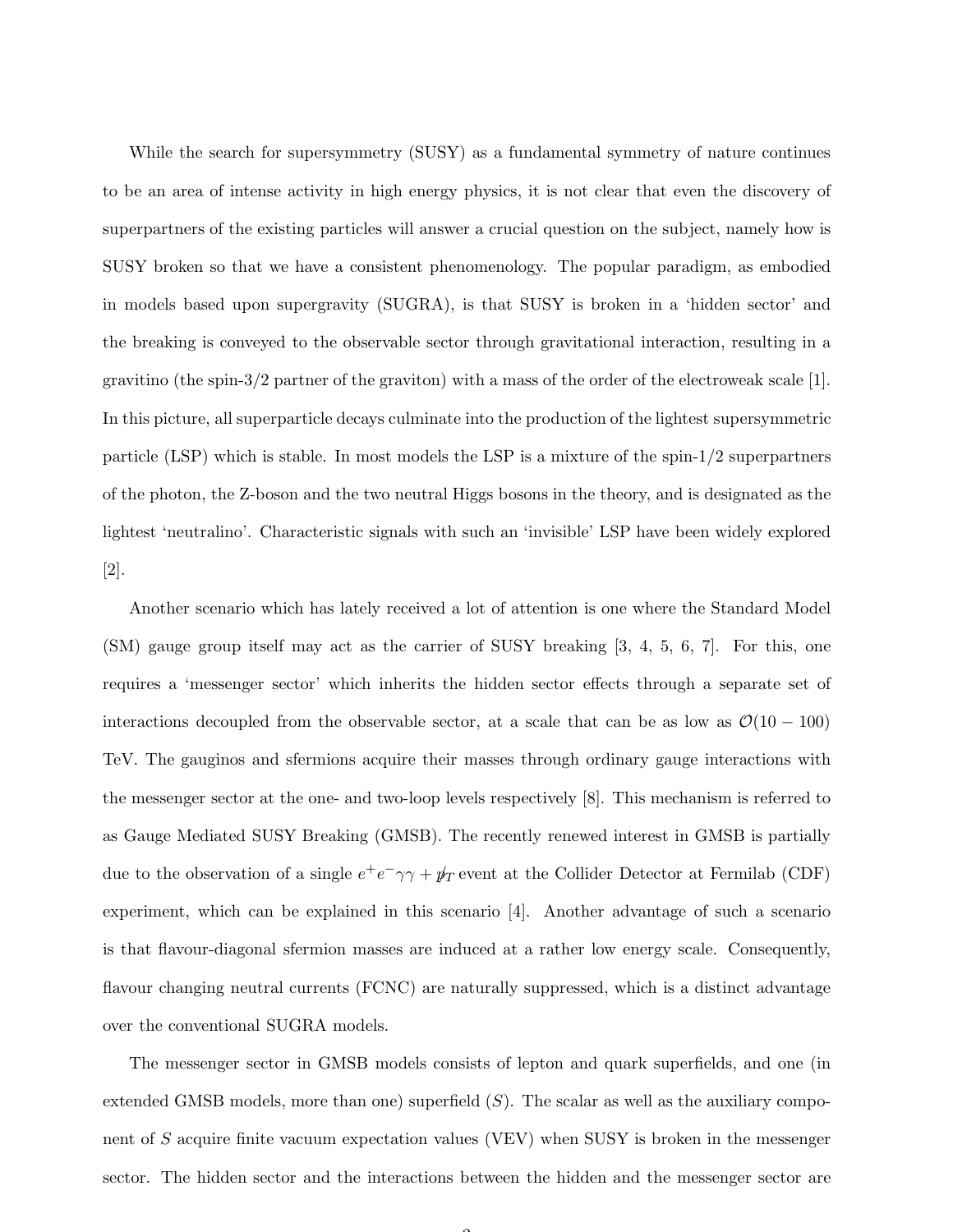While the search for supersymmetry (SUSY) as a fundamental symmetry of nature continues to be an area of intense activity in high energy physics, it is not clear that even the discovery of superpartners of the existing particles will answer a crucial question on the subject, namely how is SUSY broken so that we have a consistent phenomenology. The popular paradigm, as embodied in models based upon supergravity (SUGRA), is that SUSY is broken in a 'hidden sector' and the breaking is conveyed to the observable sector through gravitational interaction, resulting in a gravitino (the spin-3/2 partner of the graviton) with a mass of the order of the electroweak scale [1]. In this picture, all superparticle decays culminate into the production of the lightest supersymmetric particle (LSP) which is stable. In most models the LSP is a mixture of the spin-1/2 superpartners of the photon, the Z-boson and the two neutral Higgs bosons in the theory, and is designated as the lightest 'neutralino'. Characteristic signals with such an 'invisible' LSP have been widely explored [2].

Another scenario which has lately received a lot of attention is one where the Standard Model (SM) gauge group itself may act as the carrier of SUSY breaking [3, 4, 5, 6, 7]. For this, one requires a 'messenger sector' which inherits the hidden sector effects through a separate set of interactions decoupled from the observable sector, at a scale that can be as low as  $\mathcal{O}(10 - 100)$ TeV. The gauginos and sfermions acquire their masses through ordinary gauge interactions with the messenger sector at the one- and two-loop levels respectively [8]. This mechanism is referred to as Gauge Mediated SUSY Breaking (GMSB). The recently renewed interest in GMSB is partially due to the observation of a single  $e^+e^-\gamma\gamma + \rlap{\,/}\psi_T$  event at the Collider Detector at Fermilab (CDF) experiment, which can be explained in this scenario [4]. Another advantage of such a scenario is that flavour-diagonal sfermion masses are induced at a rather low energy scale. Consequently, flavour changing neutral currents (FCNC) are naturally suppressed, which is a distinct advantage over the conventional SUGRA models.

The messenger sector in GMSB models consists of lepton and quark superfields, and one (in extended GMSB models, more than one) superfield  $(S)$ . The scalar as well as the auxiliary component of S acquire finite vacuum expectation values (VEV) when SUSY is broken in the messenger sector. The hidden sector and the interactions between the hidden and the messenger sector are

 $\sim$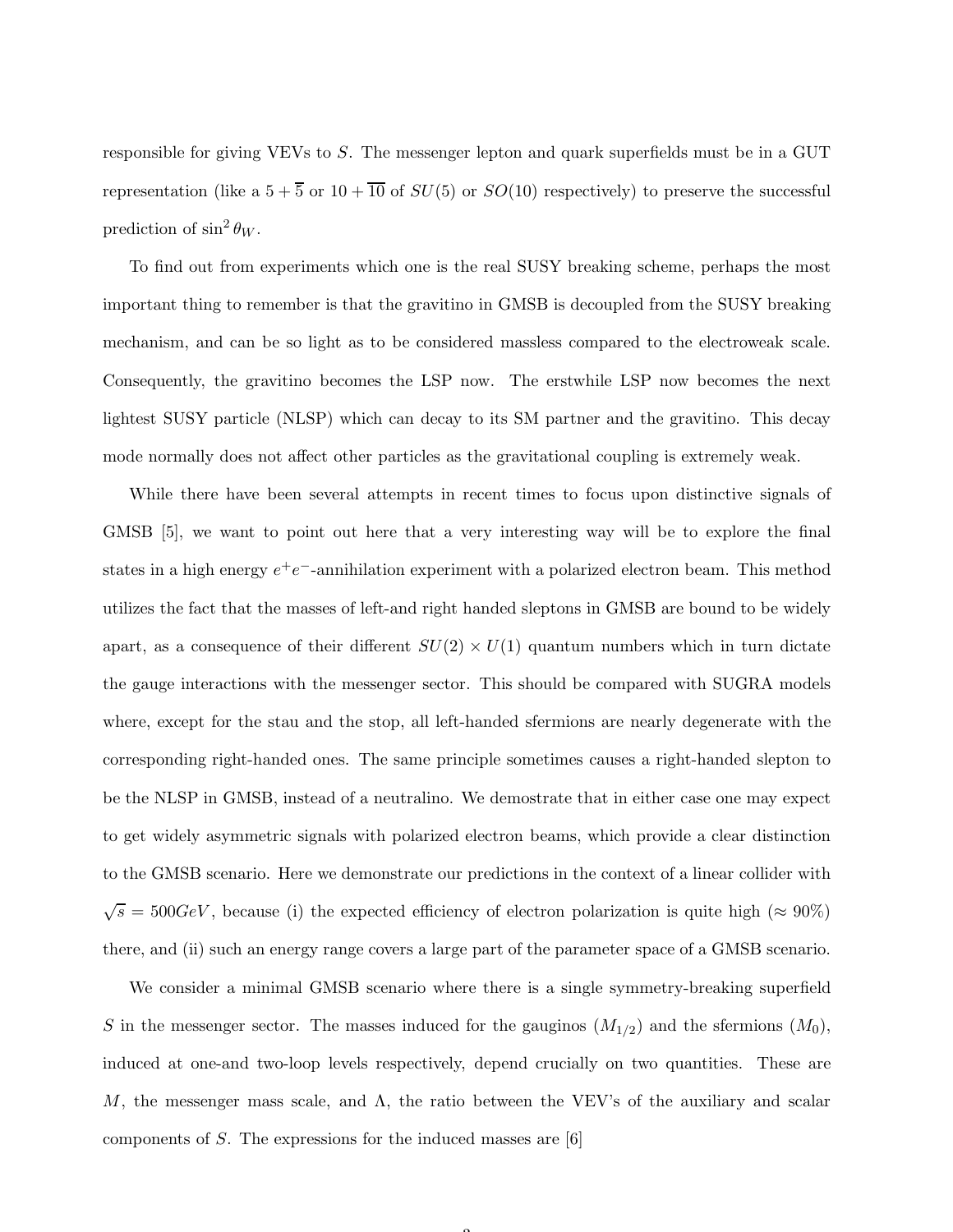responsible for giving VEVs to S. The messenger lepton and quark superfields must be in a GUT representation (like a  $5 + \overline{5}$  or  $10 + \overline{10}$  of  $SU(5)$  or  $SO(10)$  respectively) to preserve the successful prediction of  $\sin^2 \theta_W$ .

To find out from experiments which one is the real SUSY breaking scheme, perhaps the most important thing to remember is that the gravitino in GMSB is decoupled from the SUSY breaking mechanism, and can be so light as to be considered massless compared to the electroweak scale. Consequently, the gravitino becomes the LSP now. The erstwhile LSP now becomes the next lightest SUSY particle (NLSP) which can decay to its SM partner and the gravitino. This decay mode normally does not affect other particles as the gravitational coupling is extremely weak.

While there have been several attempts in recent times to focus upon distinctive signals of GMSB [5], we want to point out here that a very interesting way will be to explore the final states in a high energy  $e^+e^-$ -annihilation experiment with a polarized electron beam. This method utilizes the fact that the masses of left-and right handed sleptons in GMSB are bound to be widely apart, as a consequence of their different  $SU(2) \times U(1)$  quantum numbers which in turn dictate the gauge interactions with the messenger sector. This should be compared with SUGRA models where, except for the stau and the stop, all left-handed sfermions are nearly degenerate with the corresponding right-handed ones. The same principle sometimes causes a right-handed slepton to be the NLSP in GMSB, instead of a neutralino. We demostrate that in either case one may expect to get widely asymmetric signals with polarized electron beams, which provide a clear distinction to the GMSB scenario. Here we demonstrate our predictions in the context of a linear collider with  $\sqrt{s} = 500 GeV$ , because (i) the expected efficiency of electron polarization is quite high ( $\approx 90\%$ ) there, and (ii) such an energy range covers a large part of the parameter space of a GMSB scenario.

We consider a minimal GMSB scenario where there is a single symmetry-breaking superfield S in the messenger sector. The masses induced for the gauginos  $(M_{1/2})$  and the sfermions  $(M_0)$ , induced at one-and two-loop levels respectively, depend crucially on two quantities. These are M, the messenger mass scale, and  $\Lambda$ , the ratio between the VEV's of the auxiliary and scalar components of S. The expressions for the induced masses are [6]

 $\sim$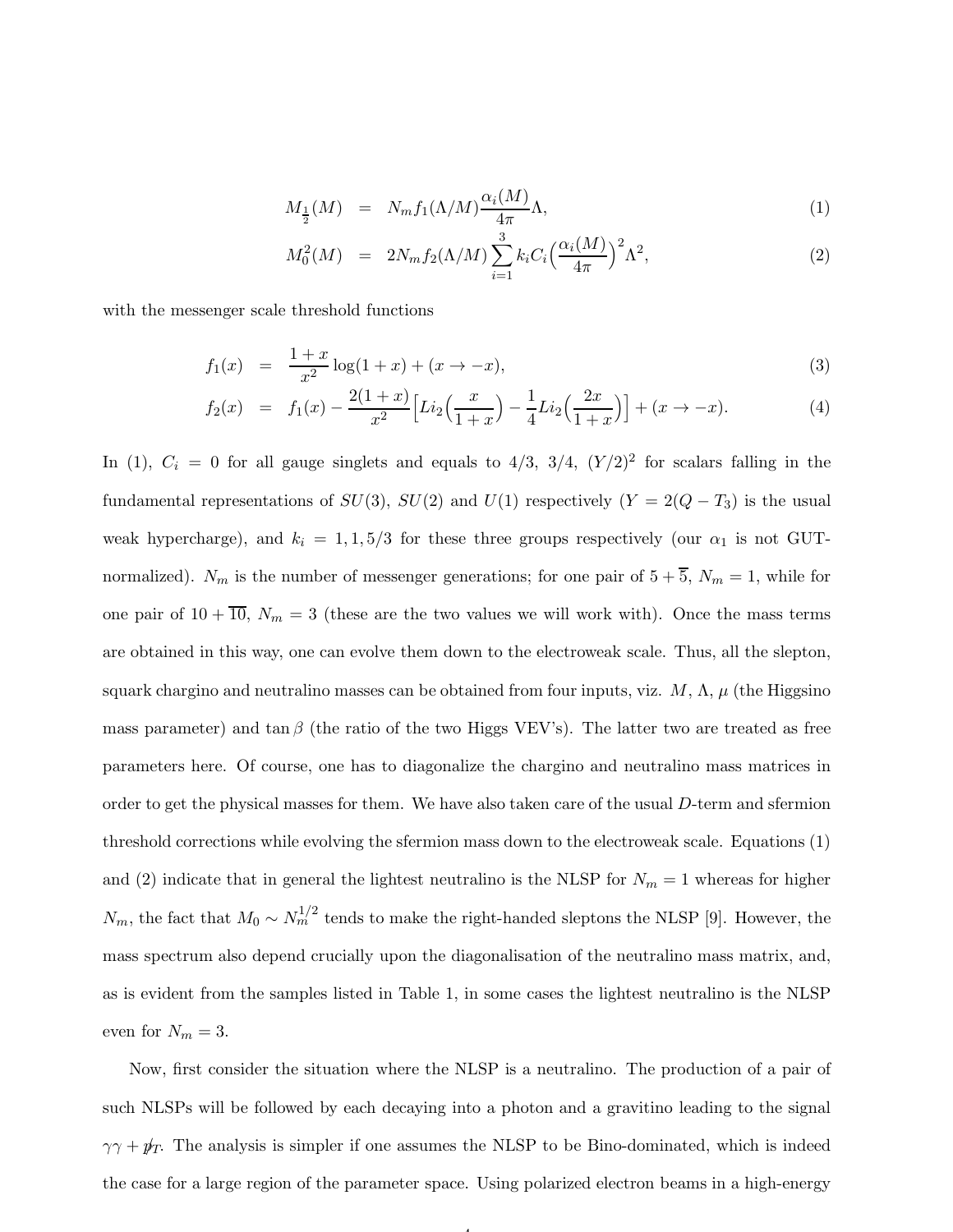$$
M_{\frac{1}{2}}(M) = N_m f_1(\Lambda/M) \frac{\alpha_i(M)}{4\pi} \Lambda,\tag{1}
$$

$$
M_0^2(M) = 2N_m f_2(\Lambda/M) \sum_{i=1}^3 k_i C_i \left(\frac{\alpha_i(M)}{4\pi}\right)^2 \Lambda^2,
$$
 (2)

with the messenger scale threshold functions

$$
f_1(x) = \frac{1+x}{x^2} \log(1+x) + (x \to -x), \tag{3}
$$

$$
f_2(x) = f_1(x) - \frac{2(1+x)}{x^2} \Big[ Li_2\Big(\frac{x}{1+x}\Big) - \frac{1}{4} Li_2\Big(\frac{2x}{1+x}\Big) \Big] + (x \to -x). \tag{4}
$$

In (1),  $C_i = 0$  for all gauge singlets and equals to 4/3, 3/4,  $(Y/2)^2$  for scalars falling in the fundamental representations of  $SU(3)$ ,  $SU(2)$  and  $U(1)$  respectively  $(Y = 2(Q - T_3))$  is the usual weak hypercharge), and  $k_i = 1, 1, 5/3$  for these three groups respectively (our  $\alpha_1$  is not GUTnormalized).  $N_m$  is the number of messenger generations; for one pair of  $5 + \overline{5}$ ,  $N_m = 1$ , while for one pair of  $10 + \overline{10}$ ,  $N_m = 3$  (these are the two values we will work with). Once the mass terms are obtained in this way, one can evolve them down to the electroweak scale. Thus, all the slepton, squark chargino and neutralino masses can be obtained from four inputs, viz.  $M$ ,  $\Lambda$ ,  $\mu$  (the Higgsino mass parameter) and tan  $\beta$  (the ratio of the two Higgs VEV's). The latter two are treated as free parameters here. Of course, one has to diagonalize the chargino and neutralino mass matrices in order to get the physical masses for them. We have also taken care of the usual D-term and sfermion threshold corrections while evolving the sfermion mass down to the electroweak scale. Equations (1) and (2) indicate that in general the lightest neutralino is the NLSP for  $N_m = 1$  whereas for higher  $N_m$ , the fact that  $M_0 \sim N_m^{1/2}$  tends to make the right-handed sleptons the NLSP [9]. However, the mass spectrum also depend crucially upon the diagonalisation of the neutralino mass matrix, and, as is evident from the samples listed in Table 1, in some cases the lightest neutralino is the NLSP even for  $N_m = 3$ .

Now, first consider the situation where the NLSP is a neutralino. The production of a pair of such NLSPs will be followed by each decaying into a photon and a gravitino leading to the signal  $\gamma\gamma + p_T$ . The analysis is simpler if one assumes the NLSP to be Bino-dominated, which is indeed the case for a large region of the parameter space. Using polarized electron beams in a high-energy

4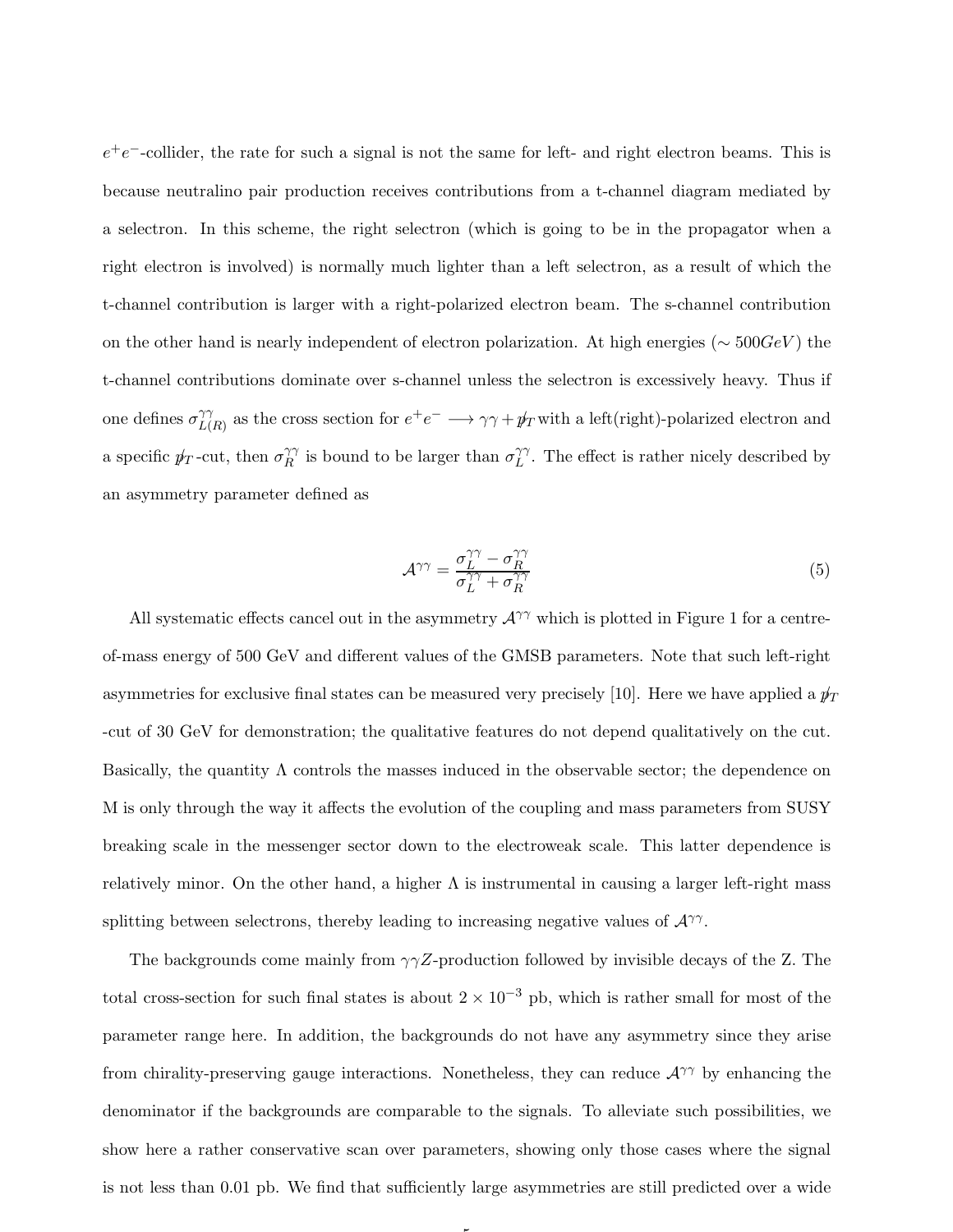$e^+e^-$ -collider, the rate for such a signal is not the same for left- and right electron beams. This is because neutralino pair production receives contributions from a t-channel diagram mediated by a selectron. In this scheme, the right selectron (which is going to be in the propagator when a right electron is involved) is normally much lighter than a left selectron, as a result of which the t-channel contribution is larger with a right-polarized electron beam. The s-channel contribution on the other hand is nearly independent of electron polarization. At high energies ( $\sim 500 GeV$ ) the t-channel contributions dominate over s-channel unless the selectron is excessively heavy. Thus if one defines  $\sigma_{LL}^{\gamma\gamma}$  $L(R)$  as the cross section for  $e^+e^- \longrightarrow \gamma\gamma + \rlap{\,/}\psi_T$  with a left(right)-polarized electron and a specific  $p_T$ -cut, then  $\sigma_R^{\gamma\gamma}$  $\hat{R}^{\gamma\gamma}$  is bound to be larger than  $\sigma_L^{\gamma\gamma}$  $\hat{L}^{\gamma}$ . The effect is rather nicely described by an asymmetry parameter defined as

$$
\mathcal{A}^{\gamma\gamma} = \frac{\sigma_L^{\gamma\gamma} - \sigma_R^{\gamma\gamma}}{\sigma_L^{\gamma\gamma} + \sigma_R^{\gamma\gamma}}
$$
(5)

All systematic effects cancel out in the asymmetry  $A^{\gamma\gamma}$  which is plotted in Figure 1 for a centreof-mass energy of 500 GeV and different values of the GMSB parameters. Note that such left-right asymmetries for exclusive final states can be measured very precisely [10]. Here we have applied a  $p_T$ -cut of 30 GeV for demonstration; the qualitative features do not depend qualitatively on the cut. Basically, the quantity  $\Lambda$  controls the masses induced in the observable sector; the dependence on M is only through the way it affects the evolution of the coupling and mass parameters from SUSY breaking scale in the messenger sector down to the electroweak scale. This latter dependence is relatively minor. On the other hand, a higher  $\Lambda$  is instrumental in causing a larger left-right mass splitting between selectrons, thereby leading to increasing negative values of  $\mathcal{A}^{\gamma\gamma}$ .

The backgrounds come mainly from  $\gamma\gamma Z$ -production followed by invisible decays of the Z. The total cross-section for such final states is about  $2 \times 10^{-3}$  pb, which is rather small for most of the parameter range here. In addition, the backgrounds do not have any asymmetry since they arise from chirality-preserving gauge interactions. Nonetheless, they can reduce  $\mathcal{A}^{\gamma\gamma}$  by enhancing the denominator if the backgrounds are comparable to the signals. To alleviate such possibilities, we show here a rather conservative scan over parameters, showing only those cases where the signal is not less than 0.01 pb. We find that sufficiently large asymmetries are still predicted over a wide

5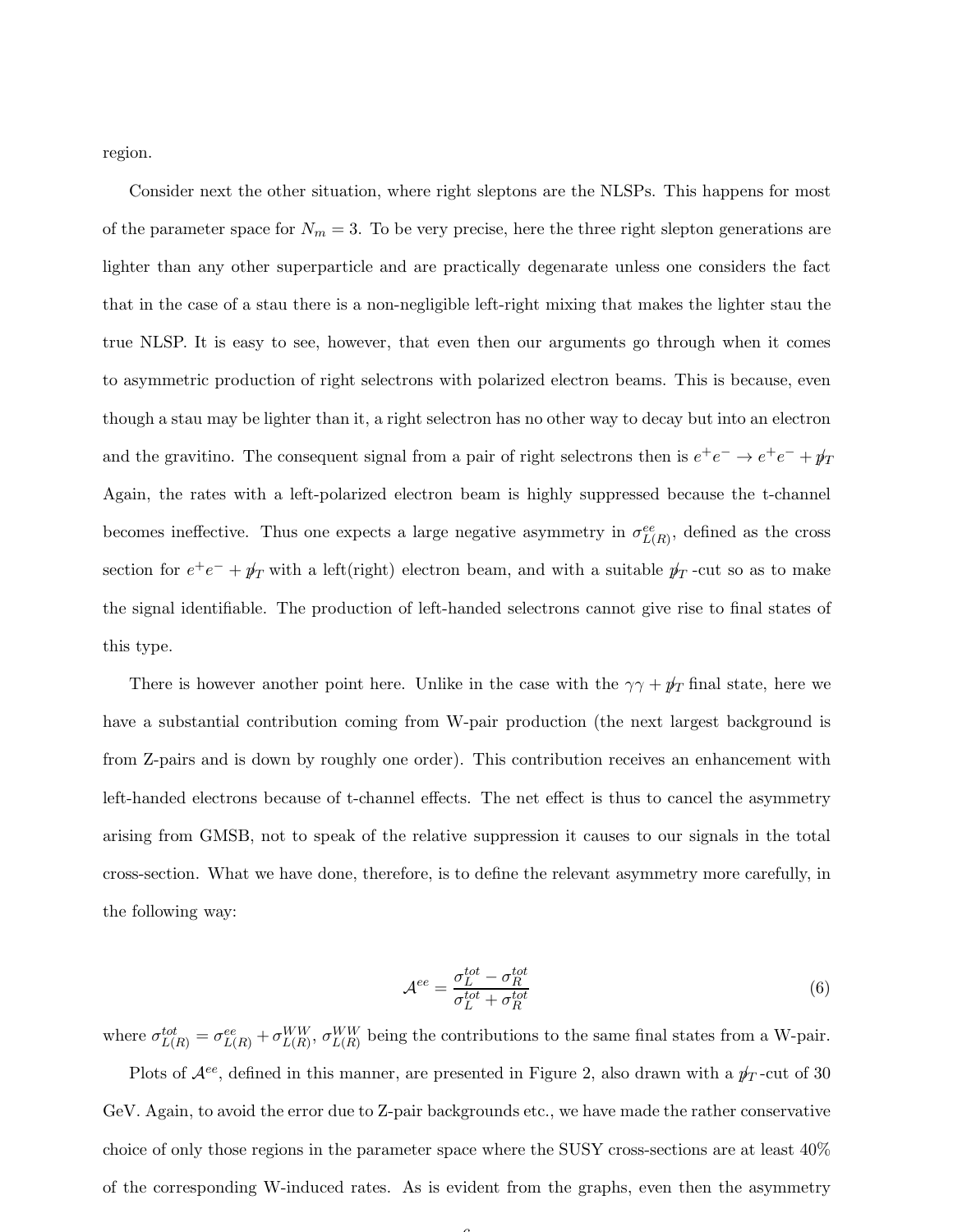region.

Consider next the other situation, where right sleptons are the NLSPs. This happens for most of the parameter space for  $N_m = 3$ . To be very precise, here the three right slepton generations are lighter than any other superparticle and are practically degenarate unless one considers the fact that in the case of a stau there is a non-negligible left-right mixing that makes the lighter stau the true NLSP. It is easy to see, however, that even then our arguments go through when it comes to asymmetric production of right selectrons with polarized electron beams. This is because, even though a stau may be lighter than it, a right selectron has no other way to decay but into an electron and the gravitino. The consequent signal from a pair of right selectrons then is  $e^+e^- \to e^+e^- + \rlap{\,/}p_T$ Again, the rates with a left-polarized electron beam is highly suppressed because the t-channel becomes ineffective. Thus one expects a large negative asymmetry in  $\sigma_{L(R)}^{ee}$ , defined as the cross section for  $e^+e^- + p_T$  with a left(right) electron beam, and with a suitable  $p_T$ -cut so as to make the signal identifiable. The production of left-handed selectrons cannot give rise to final states of this type.

There is however another point here. Unlike in the case with the  $\gamma \gamma + p_T$  final state, here we have a substantial contribution coming from W-pair production (the next largest background is from Z-pairs and is down by roughly one order). This contribution receives an enhancement with left-handed electrons because of t-channel effects. The net effect is thus to cancel the asymmetry arising from GMSB, not to speak of the relative suppression it causes to our signals in the total cross-section. What we have done, therefore, is to define the relevant asymmetry more carefully, in the following way:

$$
\mathcal{A}^{ee} = \frac{\sigma_L^{tot} - \sigma_R^{tot}}{\sigma_L^{tot} + \sigma_R^{tot}} \tag{6}
$$

where  $\sigma_{L(R)}^{tot} = \sigma_{L(R)}^{ee} + \sigma_{L(R)}^{WW}$ ,  $\sigma_{L(R)}^{WW}$  being the contributions to the same final states from a W-pair. Plots of  $\mathcal{A}^{ee}$ , defined in this manner, are presented in Figure 2, also drawn with a  $p_T$ -cut of 30 GeV. Again, to avoid the error due to Z-pair backgrounds etc., we have made the rather conservative choice of only those regions in the parameter space where the SUSY cross-sections are at least 40% of the corresponding W-induced rates. As is evident from the graphs, even then the asymmetry

 $\sqrt{2}$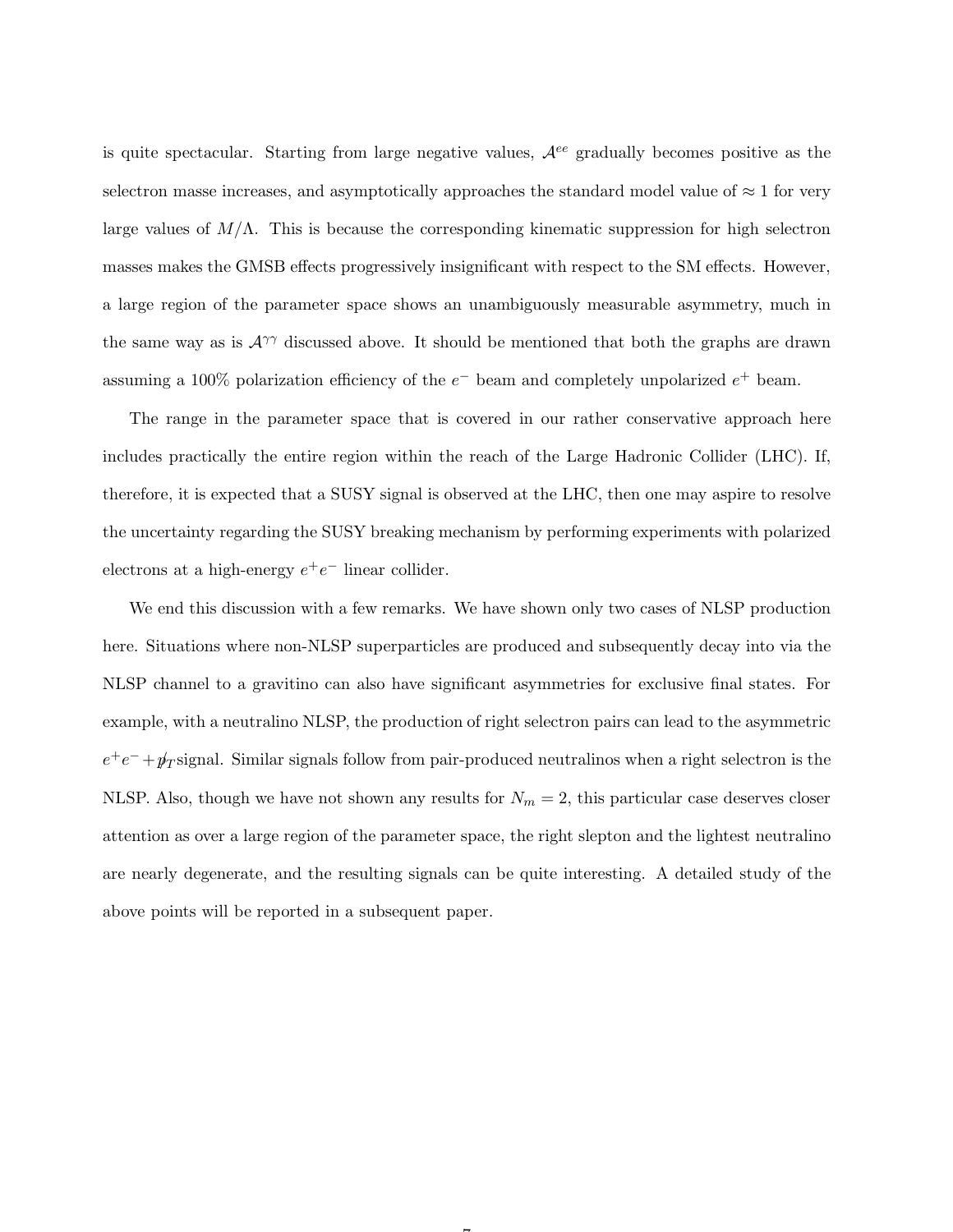is quite spectacular. Starting from large negative values,  $\mathcal{A}^{ee}$  gradually becomes positive as the selectron masse increases, and asymptotically approaches the standard model value of  $\approx 1$  for very large values of  $M/\Lambda$ . This is because the corresponding kinematic suppression for high selectron masses makes the GMSB effects progressively insignificant with respect to the SM effects. However, a large region of the parameter space shows an unambiguously measurable asymmetry, much in the same way as is  $A^{\gamma\gamma}$  discussed above. It should be mentioned that both the graphs are drawn assuming a 100% polarization efficiency of the  $e^-$  beam and completely unpolarized  $e^+$  beam.

The range in the parameter space that is covered in our rather conservative approach here includes practically the entire region within the reach of the Large Hadronic Collider (LHC). If, therefore, it is expected that a SUSY signal is observed at the LHC, then one may aspire to resolve the uncertainty regarding the SUSY breaking mechanism by performing experiments with polarized electrons at a high-energy  $e^+e^-$  linear collider.

We end this discussion with a few remarks. We have shown only two cases of NLSP production here. Situations where non-NLSP superparticles are produced and subsequently decay into via the NLSP channel to a gravitino can also have significant asymmetries for exclusive final states. For example, with a neutralino NLSP, the production of right selectron pairs can lead to the asymmetric  $e^+e^- + p_T$  signal. Similar signals follow from pair-produced neutralinos when a right selectron is the NLSP. Also, though we have not shown any results for  $N_m = 2$ , this particular case deserves closer attention as over a large region of the parameter space, the right slepton and the lightest neutralino are nearly degenerate, and the resulting signals can be quite interesting. A detailed study of the above points will be reported in a subsequent paper.

 $\rightarrow$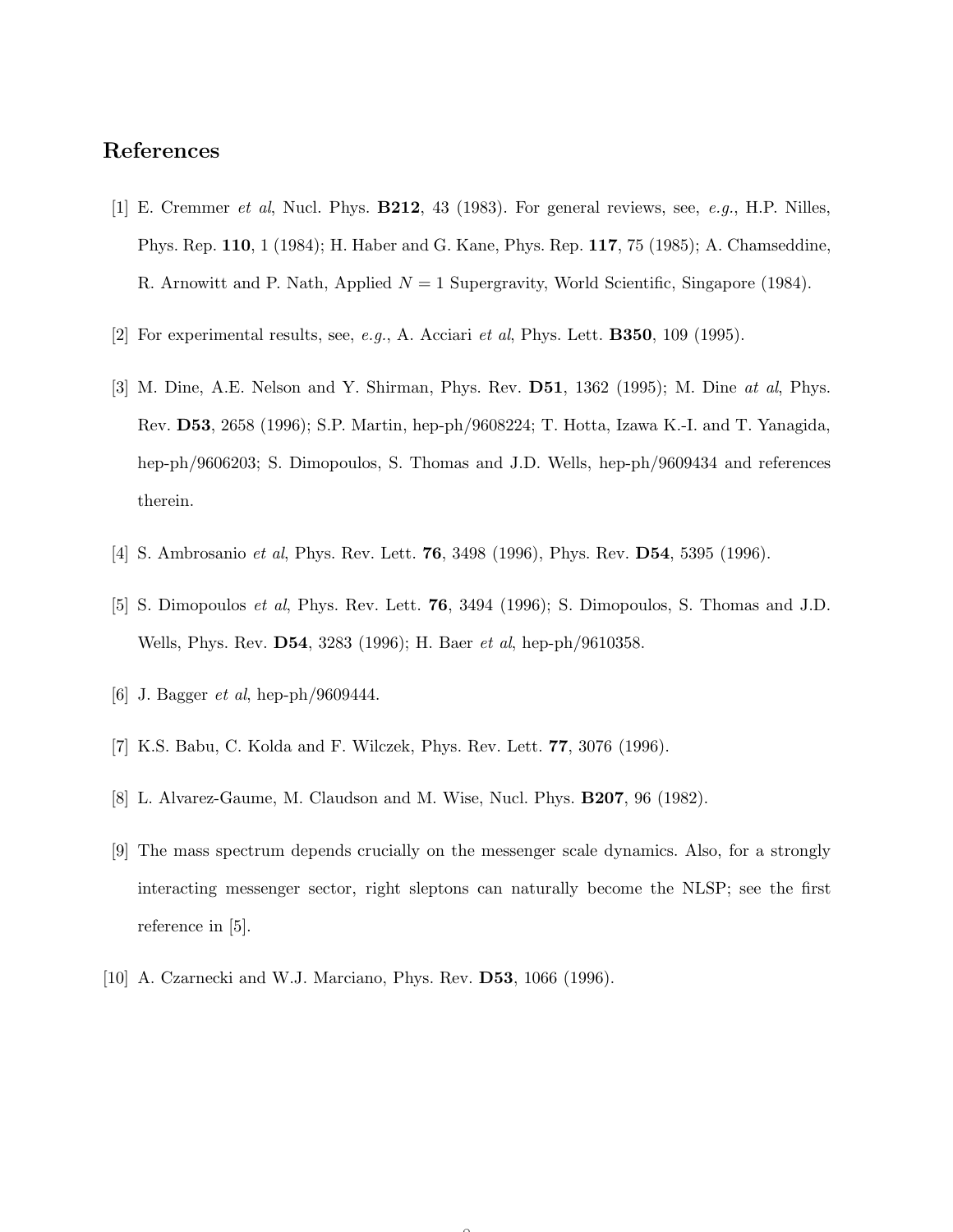## References

- [1] E. Cremmer et al, Nucl. Phys. B212, 43 (1983). For general reviews, see, e.g., H.P. Nilles, Phys. Rep. 110, 1 (1984); H. Haber and G. Kane, Phys. Rep. 117, 75 (1985); A. Chamseddine, R. Arnowitt and P. Nath, Applied  $N = 1$  Supergravity, World Scientific, Singapore (1984).
- [2] For experimental results, see, e.g., A. Acciari et al, Phys. Lett. **B350**, 109 (1995).
- [3] M. Dine, A.E. Nelson and Y. Shirman, Phys. Rev. D51, 1362 (1995); M. Dine at al, Phys. Rev. D53, 2658 (1996); S.P. Martin, hep-ph/9608224; T. Hotta, Izawa K.-I. and T. Yanagida, hep-ph/9606203; S. Dimopoulos, S. Thomas and J.D. Wells, hep-ph/9609434 and references therein.
- [4] S. Ambrosanio *et al*, Phys. Rev. Lett. **76**, 3498 (1996), Phys. Rev. **D54**, 5395 (1996).
- [5] S. Dimopoulos et al, Phys. Rev. Lett. 76, 3494 (1996); S. Dimopoulos, S. Thomas and J.D. Wells, Phys. Rev. D54, 3283 (1996); H. Baer et al, hep-ph/9610358.
- [6] J. Bagger *et al*, hep-ph/9609444.
- [7] K.S. Babu, C. Kolda and F. Wilczek, Phys. Rev. Lett. 77, 3076 (1996).
- [8] L. Alvarez-Gaume, M. Claudson and M. Wise, Nucl. Phys. B207, 96 (1982).
- [9] The mass spectrum depends crucially on the messenger scale dynamics. Also, for a strongly interacting messenger sector, right sleptons can naturally become the NLSP; see the first reference in [5].

 $\sim$ 

[10] A. Czarnecki and W.J. Marciano, Phys. Rev. **D53**, 1066 (1996).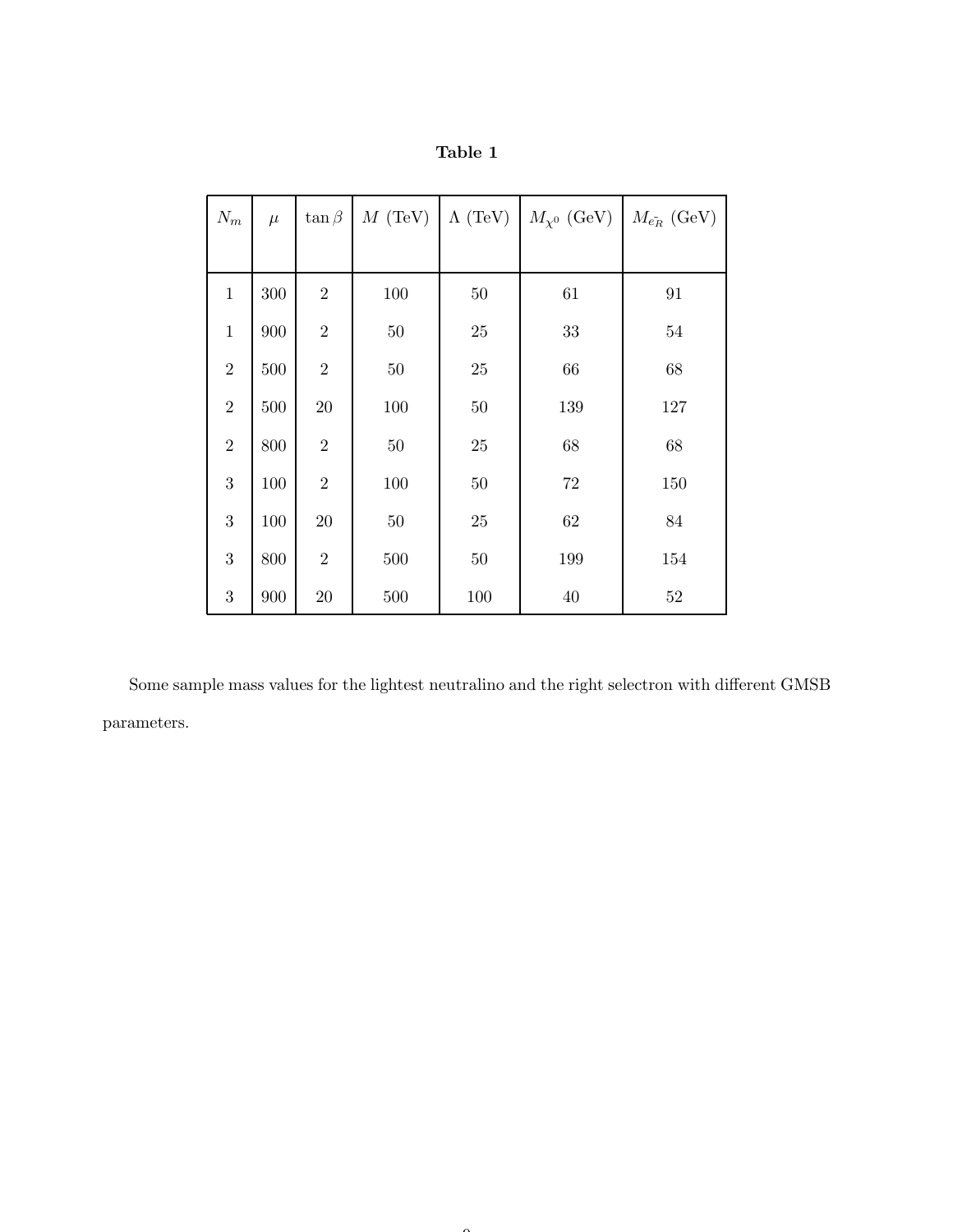| $N_m$          | $\mu$   | $\tan \beta$   | $M$ (TeV) | $\Lambda$ (TeV) | $M_{\chi^0}$ (GeV) $M_{\tilde{e_R}}$ (GeV) |        |
|----------------|---------|----------------|-----------|-----------------|--------------------------------------------|--------|
|                |         |                |           |                 |                                            |        |
| $\mathbf{1}$   | 300     | $\sqrt{2}$     | 100       | $50\,$          | 61                                         | 91     |
| $\mathbf{1}$   | 900     | $\overline{2}$ | $50\,$    | $25\,$          | $33\,$                                     | $54\,$ |
| $\overline{2}$ | 500     | $\sqrt{2}$     | $50\,$    | $25\,$          | 66                                         | 68     |
| $\overline{2}$ | $500\,$ | $20\,$         | $100\,$   | $50\,$          | 139                                        | 127    |
| $\sqrt{2}$     | 800     | $\sqrt{2}$     | $50\,$    | $25\,$          | 68                                         | 68     |
| 3              | 100     | $\sqrt{2}$     | $100\,$   | $50\,$          | 72                                         | 150    |
| 3              | 100     | $20\,$         | $50\,$    | $25\,$          | $62\,$                                     | $84\,$ |
| 3              | 800     | $\overline{2}$ | 500       | $50\,$          | 199                                        | 154    |
| 3              | 900     | $20\,$         | 500       | 100             | 40                                         | 52     |

| labie |  |
|-------|--|
|-------|--|

Some sample mass values for the lightest neutralino and the right selectron with different GMSB parameters.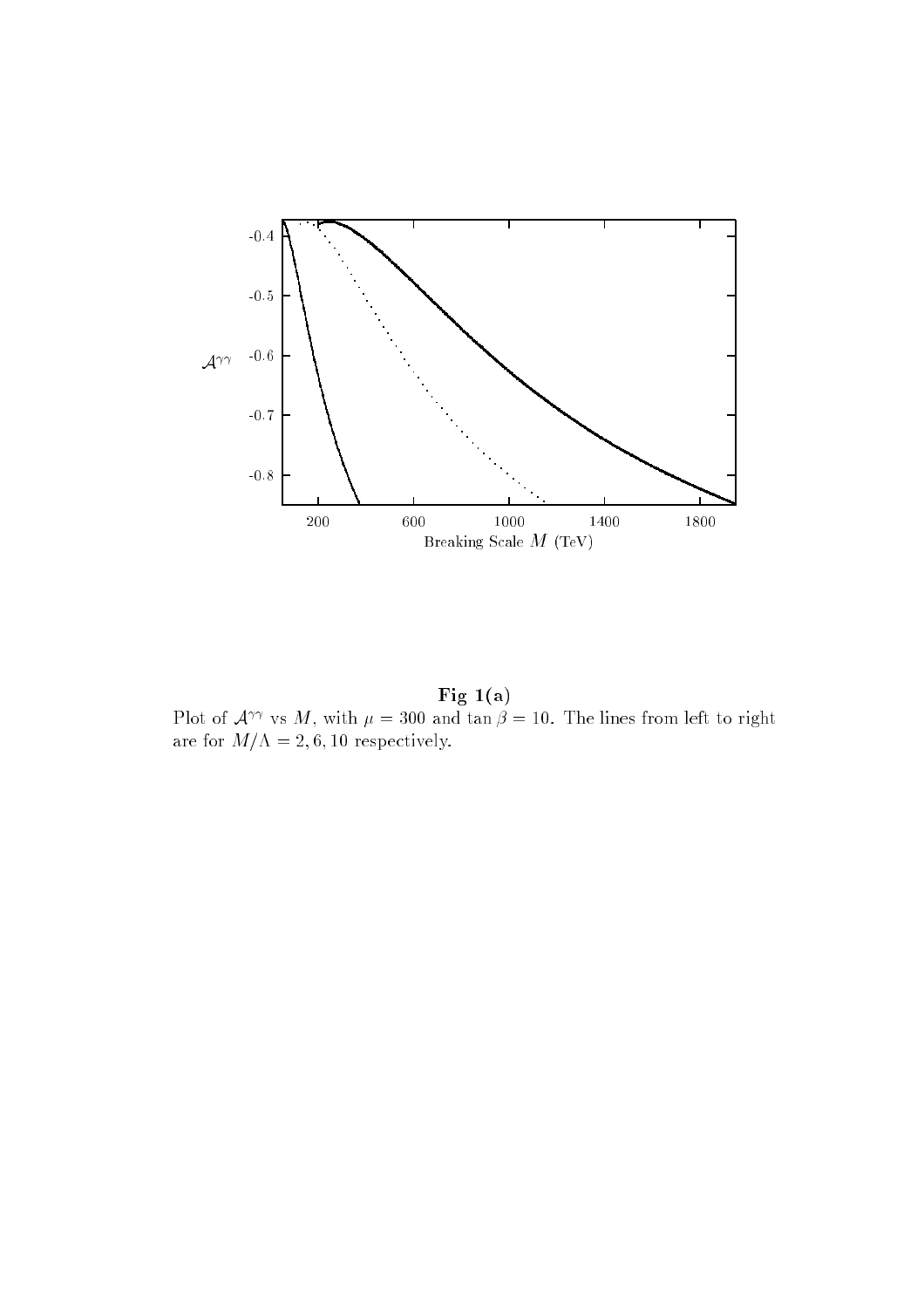

Fig 1(a) Plot of  $A^{\gamma\gamma}$  vs M, with  $\mu = 300$  and tan  $\beta = 10$ . The lines from left to right are for  $M/\Lambda = 2, 6, 10$  respectively.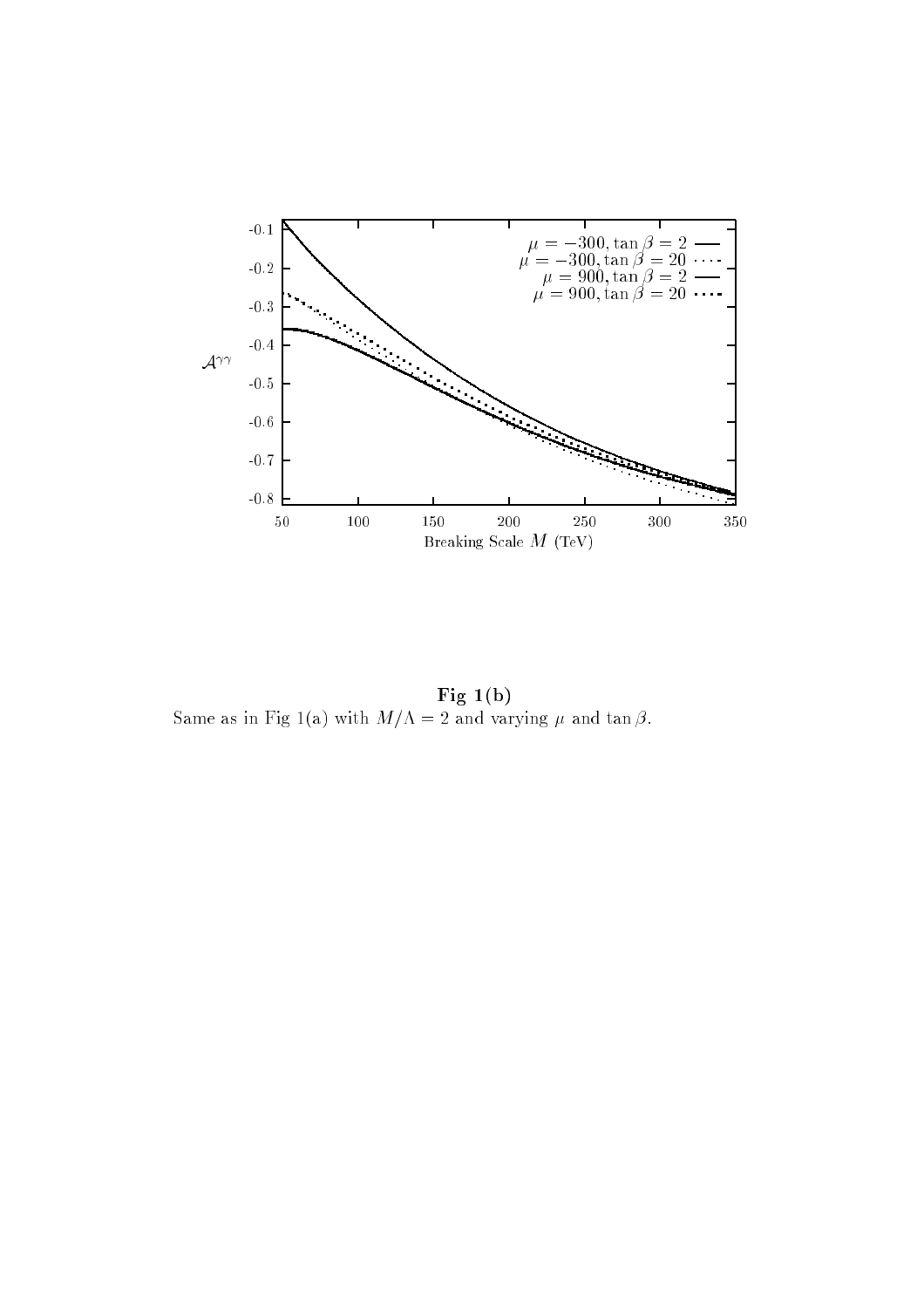

Fig 1(b) Same as in Fig 1(a) with  $M/\Lambda = 2$  and varying  $\mu$  and tan  $\beta$ .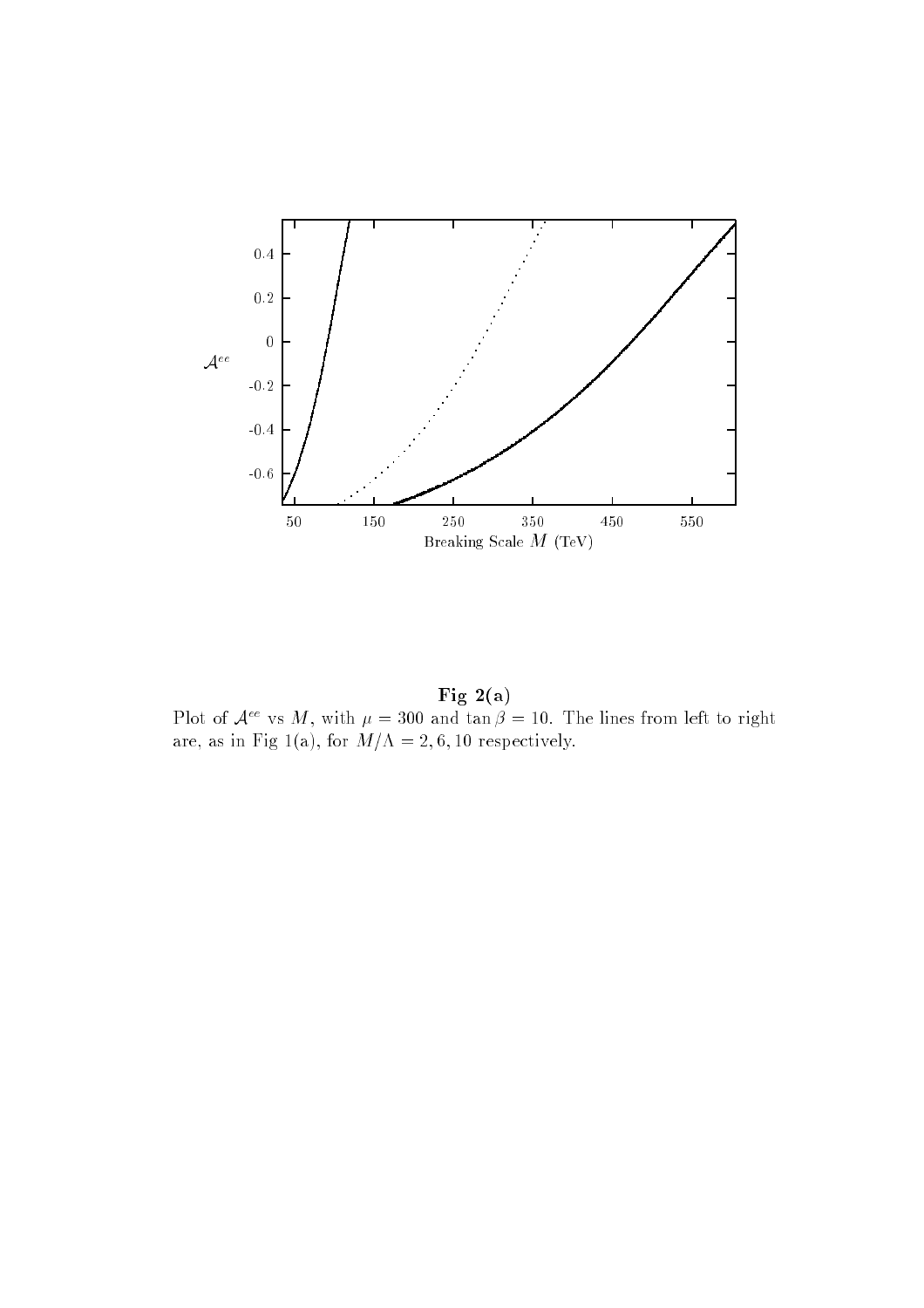

Fig  $2(a)$ Plot of  $A^{\epsilon\epsilon}$  vs M, with  $\mu = 300$  and  $\tan \beta = 10$ . The lines from left to right are, as in Fig 1(a), for  $M/\Lambda = 2, 6, 10$  respectively.